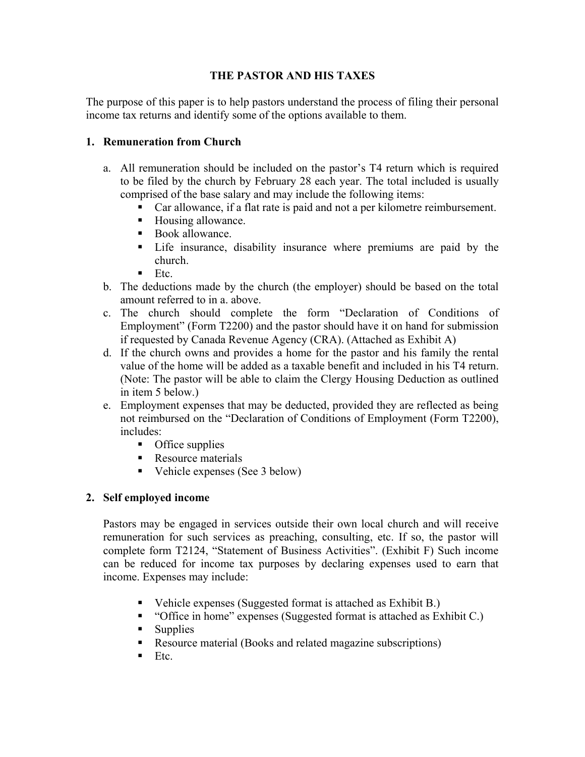# **THE PASTOR AND HIS TAXES**

The purpose of this paper is to help pastors understand the process of filing their personal income tax returns and identify some of the options available to them.

#### **1. Remuneration from Church**

- a. All remuneration should be included on the pastor's T4 return which is required to be filed by the church by February 28 each year. The total included is usually comprised of the base salary and may include the following items:
	- ! Car allowance, if a flat rate is paid and not a per kilometre reimbursement.
	- ! Housing allowance.
	- Book allowance.
	- ! Life insurance, disability insurance where premiums are paid by the church.
	- $\blacksquare$  Etc.
- b. The deductions made by the church (the employer) should be based on the total amount referred to in a. above.
- c. The church should complete the form "Declaration of Conditions of Employment" (Form T2200) and the pastor should have it on hand for submission if requested by Canada Revenue Agency (CRA). (Attached as Exhibit A)
- d. If the church owns and provides a home for the pastor and his family the rental value of the home will be added as a taxable benefit and included in his T4 return. (Note: The pastor will be able to claim the Clergy Housing Deduction as outlined in item 5 below.)
- e. Employment expenses that may be deducted, provided they are reflected as being not reimbursed on the "Declaration of Conditions of Employment (Form T2200), includes:
	- **•** Office supplies
	- **EXECUTE:** Resource materials
	- Vehicle expenses (See 3 below)

### **2. Self employed income**

Pastors may be engaged in services outside their own local church and will receive remuneration for such services as preaching, consulting, etc. If so, the pastor will complete form T2124, "Statement of Business Activities". (Exhibit F) Such income can be reduced for income tax purposes by declaring expenses used to earn that income. Expenses may include:

- ! Vehicle expenses (Suggested format is attached as Exhibit B.)
- ! "Office in home" expenses (Suggested format is attached as Exhibit C.)
- **Supplies**
- ! Resource material (Books and related magazine subscriptions)
- $\blacksquare$  Etc.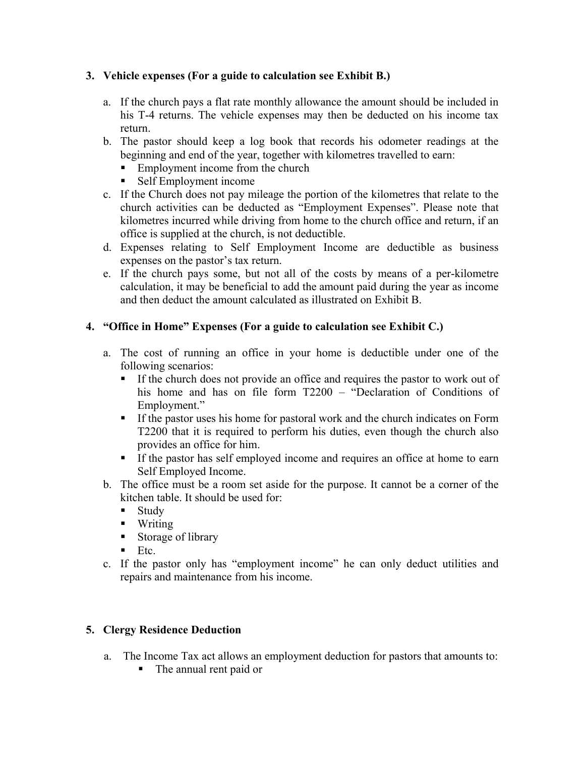# **3. Vehicle expenses (For a guide to calculation see Exhibit B.)**

- a. If the church pays a flat rate monthly allowance the amount should be included in his T-4 returns. The vehicle expenses may then be deducted on his income tax return.
- b. The pastor should keep a log book that records his odometer readings at the beginning and end of the year, together with kilometres travelled to earn:
	- Employment income from the church
	- ! Self Employment income
- c. If the Church does not pay mileage the portion of the kilometres that relate to the church activities can be deducted as "Employment Expenses". Please note that kilometres incurred while driving from home to the church office and return, if an office is supplied at the church, is not deductible.
- d. Expenses relating to Self Employment Income are deductible as business expenses on the pastor's tax return.
- e. If the church pays some, but not all of the costs by means of a per-kilometre calculation, it may be beneficial to add the amount paid during the year as income and then deduct the amount calculated as illustrated on Exhibit B.

# **4. "Office in Home" Expenses (For a guide to calculation see Exhibit C.)**

- a. The cost of running an office in your home is deductible under one of the following scenarios:
	- ! If the church does not provide an office and requires the pastor to work out of his home and has on file form T2200 – "Declaration of Conditions of Employment."
	- ! If the pastor uses his home for pastoral work and the church indicates on Form T2200 that it is required to perform his duties, even though the church also provides an office for him.
	- ! If the pastor has self employed income and requires an office at home to earn Self Employed Income.
- b. The office must be a room set aside for the purpose. It cannot be a corner of the kitchen table. It should be used for:
	- **Study**
	- Writing
	- Storage of library
	- $\blacksquare$  Etc.
- c. If the pastor only has "employment income" he can only deduct utilities and repairs and maintenance from his income.

### **5. Clergy Residence Deduction**

- a. The Income Tax act allows an employment deduction for pastors that amounts to:
	- ! The annual rent paid or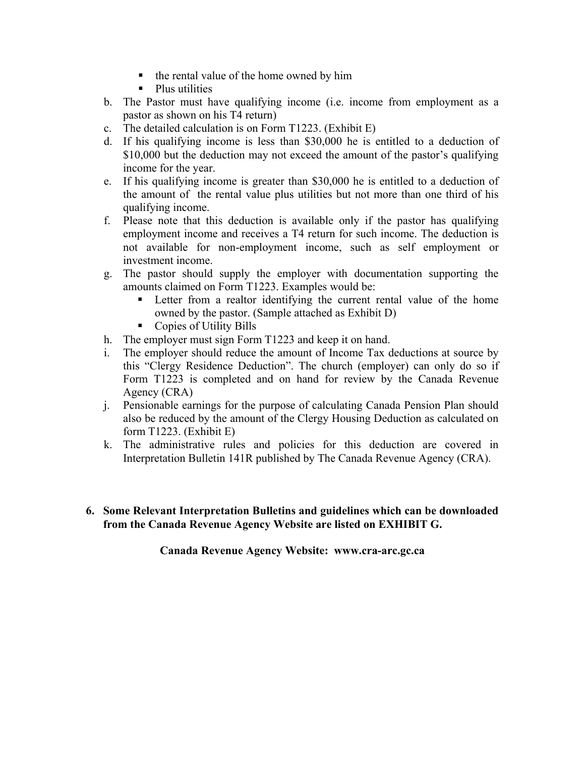- ! the rental value of the home owned by him
- Plus utilities
- b. The Pastor must have qualifying income (i.e. income from employment as a pastor as shown on his T4 return)
- c. The detailed calculation is on Form T1223. (Exhibit E)
- d. If his qualifying income is less than \$30,000 he is entitled to a deduction of \$10,000 but the deduction may not exceed the amount of the pastor's qualifying income for the year.
- e. If his qualifying income is greater than \$30,000 he is entitled to a deduction of the amount of the rental value plus utilities but not more than one third of his qualifying income.
- f. Please note that this deduction is available only if the pastor has qualifying employment income and receives a T4 return for such income. The deduction is not available for non-employment income, such as self employment or investment income.
- g. The pastor should supply the employer with documentation supporting the amounts claimed on Form T1223. Examples would be:
	- ! Letter from a realtor identifying the current rental value of the home owned by the pastor. (Sample attached as Exhibit D)
	- **•** Copies of Utility Bills
- h. The employer must sign Form T1223 and keep it on hand.
- i. The employer should reduce the amount of Income Tax deductions at source by this "Clergy Residence Deduction". The church (employer) can only do so if Form T1223 is completed and on hand for review by the Canada Revenue Agency (CRA)
- j. Pensionable earnings for the purpose of calculating Canada Pension Plan should also be reduced by the amount of the Clergy Housing Deduction as calculated on form T1223. (Exhibit E)
- k. The administrative rules and policies for this deduction are covered in Interpretation Bulletin 141R published by The Canada Revenue Agency (CRA).
- **6. Some Relevant Interpretation Bulletins and guidelines which can be downloaded from the Canada Revenue Agency Website are listed on EXHIBIT G.**

**Canada Revenue Agency Website: www.cra-arc.gc.ca**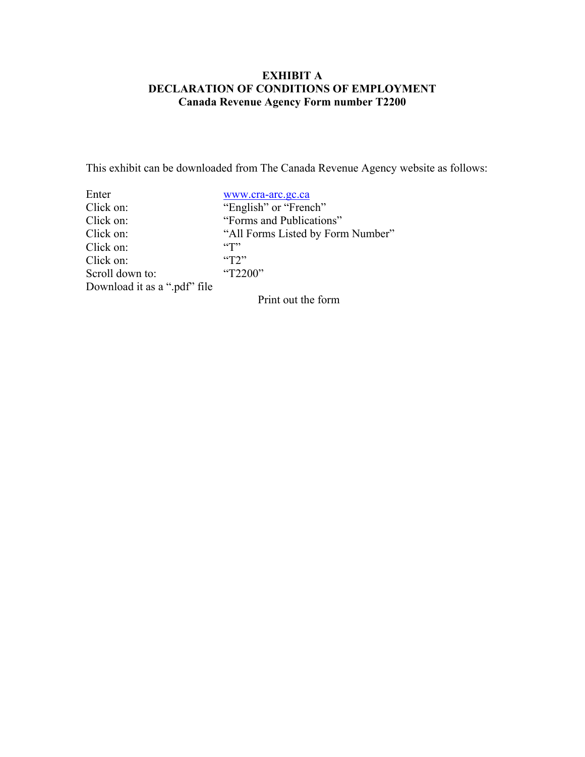### **EXHIBIT A DECLARATION OF CONDITIONS OF EMPLOYMENT Canada Revenue Agency Form number T2200**

This exhibit can be downloaded from The Canada Revenue Agency website as follows:

| www.cra-arc.gc.ca                          |
|--------------------------------------------|
| "English" or "French"                      |
| "Forms and Publications"                   |
| "All Forms Listed by Form Number"          |
| $\lq\lq$ <sup><math>\lq</math></sup> $\lq$ |
| $\mathcal{L}$                              |
| "T2200"                                    |
|                                            |
|                                            |

Print out the form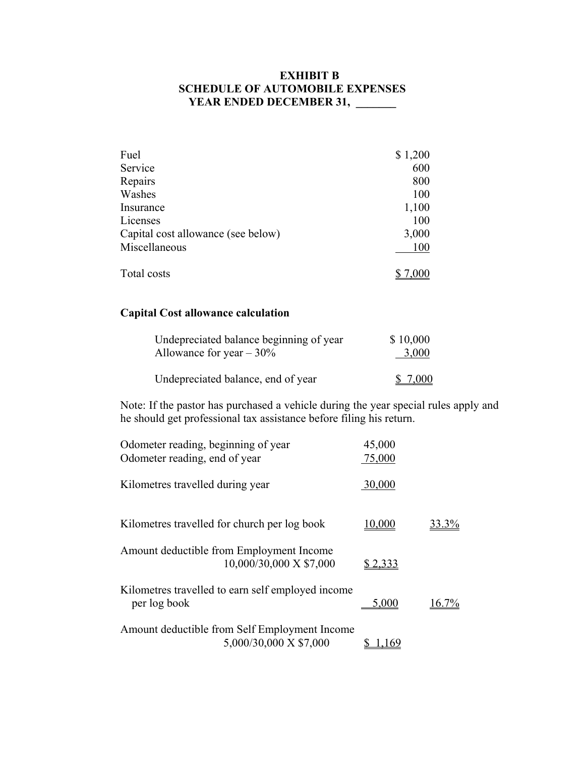# **EXHIBIT B SCHEDULE OF AUTOMOBILE EXPENSES**  YEAR ENDED DECEMBER 31, \_\_\_\_\_

| Fuel                               | \$1,200 |
|------------------------------------|---------|
| Service                            | 600     |
| Repairs                            | 800     |
| Washes                             | 100     |
| Insurance                          | 1,100   |
| Licenses                           | 100     |
| Capital cost allowance (see below) | 3,000   |
| Miscellaneous                      | 100     |
| Total costs                        | 7,000   |

# **Capital Cost allowance calculation**

| Undepreciated balance beginning of year | \$10,000 |
|-----------------------------------------|----------|
| Allowance for year $-30\%$              | 3,000    |
| Undepreciated balance, end of year      | \$7,000  |

Note: If the pastor has purchased a vehicle during the year special rules apply and he should get professional tax assistance before filing his return.

| Odometer reading, beginning of year<br>Odometer reading, end of year    | 45,000<br>75,000 |          |
|-------------------------------------------------------------------------|------------------|----------|
| Kilometres travelled during year                                        | 30,000           |          |
| Kilometres travelled for church per log book                            | 10,000           | $33.3\%$ |
| Amount deductible from Employment Income<br>10,000/30,000 X \$7,000     | \$2,333          |          |
| Kilometres travelled to earn self employed income<br>per log book       | 5,000            | $16.7\%$ |
| Amount deductible from Self Employment Income<br>5,000/30,000 X \$7,000 | <u> 169</u>      |          |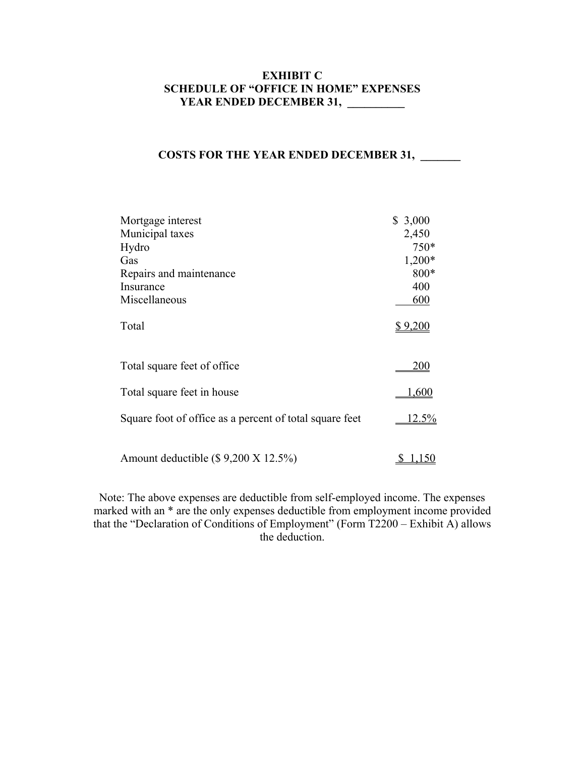# **EXHIBIT C SCHEDULE OF "OFFICE IN HOME" EXPENSES YEAR ENDED DECEMBER 31, \_\_\_\_\_\_\_\_**

#### **COSTS FOR THE YEAR ENDED DECEMBER 31,**

| Mortgage interest                                       | \$3,000  |
|---------------------------------------------------------|----------|
| Municipal taxes                                         | 2,450    |
| Hydro                                                   | $750*$   |
| Gas                                                     | $1,200*$ |
| Repairs and maintenance                                 | 800*     |
| Insurance                                               | 400      |
| Miscellaneous                                           | 600      |
| Total                                                   | \$9,200  |
| Total square feet of office                             | 200      |
| Total square feet in house                              | 600. ا   |
| Square foot of office as a percent of total square feet | $12.5\%$ |
| Amount deductible $(\$ 9,200 X 12.5%)$                  |          |

Note: The above expenses are deductible from self-employed income. The expenses marked with an \* are the only expenses deductible from employment income provided that the "Declaration of Conditions of Employment" (Form T2200 – Exhibit A) allows the deduction.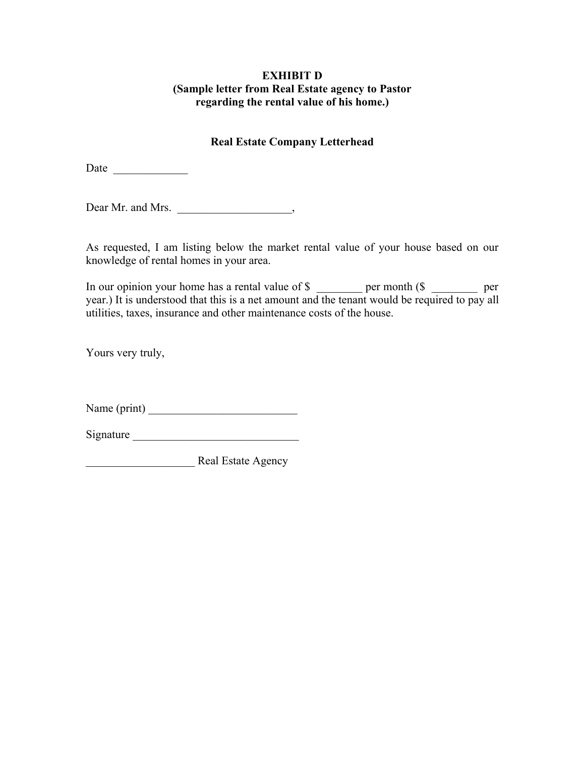#### **EXHIBIT D (Sample letter from Real Estate agency to Pastor regarding the rental value of his home.)**

### **Real Estate Company Letterhead**

Date \_\_\_\_\_\_\_\_\_\_\_\_\_

Dear Mr. and Mrs. \_\_\_\_\_\_\_\_\_\_\_\_\_\_\_\_\_\_\_\_\_,

As requested, I am listing below the market rental value of your house based on our knowledge of rental homes in your area.

In our opinion your home has a rental value of \$ \_\_\_\_\_\_\_ per month (\$ \_\_\_\_\_\_\_ per year.) It is understood that this is a net amount and the tenant would be required to pay all utilities, taxes, insurance and other maintenance costs of the house.

Yours very truly,

Name (print) \_\_\_\_\_\_\_\_\_\_\_\_\_\_\_\_\_\_\_\_\_\_\_\_\_\_

Signature  $\Box$ 

\_\_\_\_\_\_\_\_\_\_\_\_\_\_\_\_\_\_\_ Real Estate Agency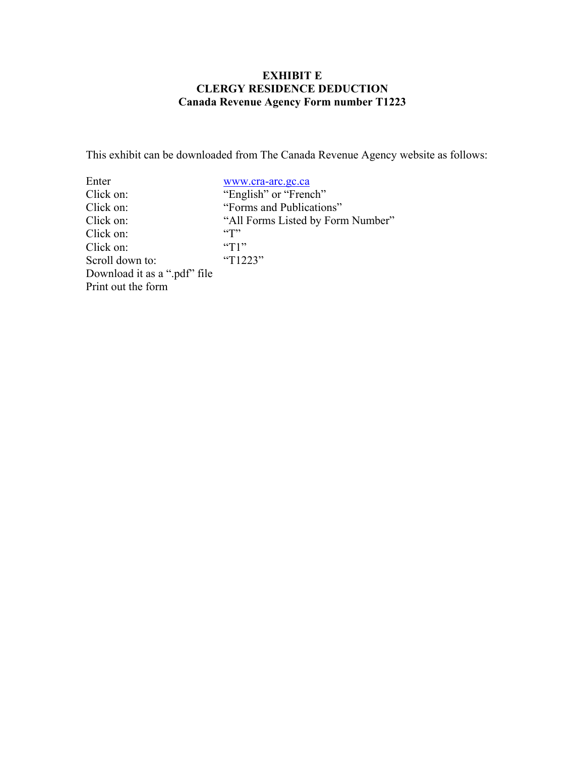# **EXHIBIT E CLERGY RESIDENCE DEDUCTION Canada Revenue Agency Form number T1223**

This exhibit can be downloaded from The Canada Revenue Agency website as follows:

| Enter                        | www.cra-arc.gc.ca                 |
|------------------------------|-----------------------------------|
| Click on:                    | "English" or "French"             |
| Click on:                    | "Forms and Publications"          |
| Click on:                    | "All Forms Listed by Form Number" |
| Click on:                    |                                   |
| Click on:                    | $\mathrm{``T1''}$                 |
| Scroll down to:              | "T1223"                           |
| Download it as a ".pdf" file |                                   |
| Print out the form           |                                   |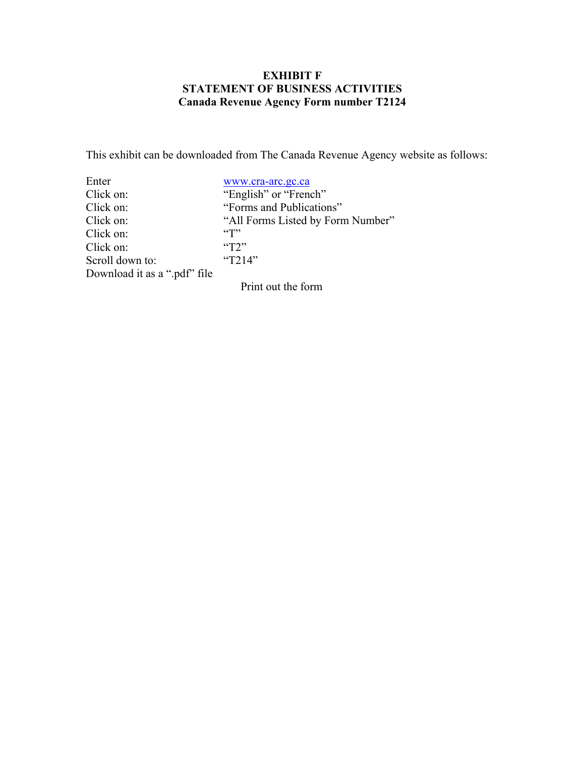## **EXHIBIT F STATEMENT OF BUSINESS ACTIVITIES Canada Revenue Agency Form number T2124**

This exhibit can be downloaded from The Canada Revenue Agency website as follows:

| Enter                        | www.cra-arc.gc.ca                 |
|------------------------------|-----------------------------------|
| Click on:                    | "English" or "French"             |
| Click on:                    | "Forms and Publications"          |
| Click on:                    | "All Forms Listed by Form Number" |
| Click on:                    |                                   |
| Click on:                    | T2                                |
| Scroll down to:              | "T214"                            |
| Download it as a ".pdf" file |                                   |

Print out the form